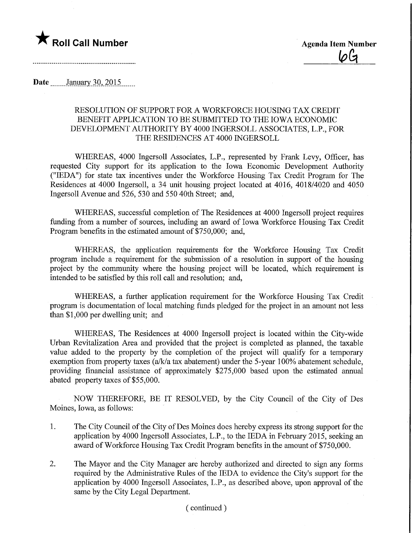## **The Roll Call Number Agents Container Agents Agents Item Number**

Date **January** 30, 2015

## RESOLUTION OF SUPPORT FOR A WORKFORCE HOUSING TAX CREDIT BENEFIT APPLICATION TO BE SUBMITTED TO THE IOWA ECONOMIC DEVELOPMENT AUTHORITY BY 4000 INGERSOLL ASSOCIATES, L.P., FOR THE RESIDENCES AT 4000 INGERSOLL

WHEREAS, 4000 Ingersoll Associates, L.P., represented by Frank Levy, Officer, has requested City support for its application to the Iowa Economic Development Authority ("IEDA") for state tax incentives under the Workforce Housing Tax Credit Program for The Residences at 4000 Ingersoll, a 34 unit housing project located at 4016, 4018/4020 and 4050 Ingersoll Avenue and 526, 530 and 550 40th Street; and,

WHEREAS, successful completion of The Residences at 4000 Ingersoll project requires funding from a number of sources, including an award of Iowa Workforce Housing Tax Credit Program benefits in the estimated amount of \$750,000; and,

WHEREAS, the application requirements for the Workforce Housing Tax Credit program include a requirement for the submission of a resolution in support of the housing project by the community where the housing project will be located, which requirement is intended to be satisfied by this roll call and resolution; and,

WHEREAS, a further application requirement for the Workforce Housing Tax Credit program is documentation of local matching funds pledged for the project in an amount not less than \$1,000 per dwelling unit; and

WHEREAS, The Residences at 4000 Ingersoll project is located within the City-wide Urban Revitalization Area and provided that the project is completed as planned, the taxable value added to the property by the completion of the project will qualify for a temporary exemption from property taxes (a/k/a tax abatement) under the 5-year 100% abatement schedule, providing financial assistance of approximately \$275,000 based upon the estimated annual abated property taxes of \$55,000.

NOW THEREFORE, BE IT RESOLVED, by the City Council of the City of Des Moines, Iowa, as follows:

- 1. The City Council of the City of Des Moines does hereby express its strong support for the application by 4000 Ingersoll Associates, L.P., to the IEDA in February 2015, seeking an award of Workforce Housing Tax Credit Program benefits in the amount of \$750,000.
- 2. The Mayor and the City Manager are hereby authorized and directed to sign any forms required by the Administrative Rules of the IEDA to evidence the City's support for the application by 4000 Ingersoll Associates, L.P., as described above, upon approval of the same by the City Legal Department.

## (continued)